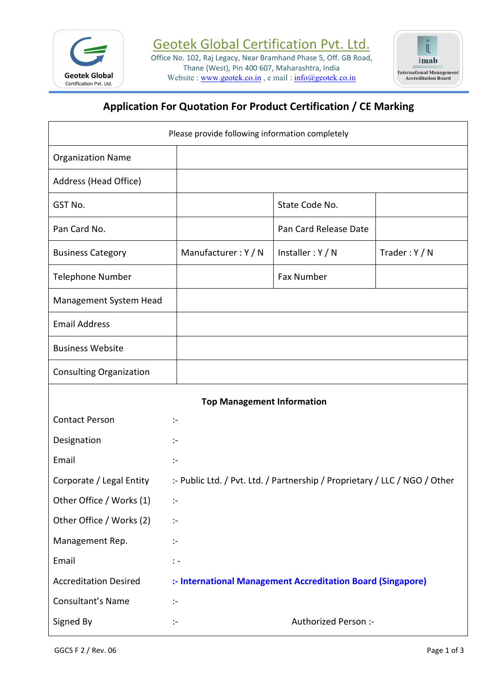

Office No. 102, Raj Legacy, Near Bramhand Phase 5, Off. GB Road, **The Road** Thane (West), Pin 400 607, Maharashtra, India<br>site : www.geotek.co.in e mail :  $\frac{1}{\ln 6}$  Maharashtra, India Website : [www.geotek.co.in](http://www.geotek.co.in), e mail : [info@geotek.co.in](mailto:info@geotek.co.in)



# **Application For Quotation For Product Certification / CE Marking**

| Please provide following information completely |                                                             |                                                                            |               |  |
|-------------------------------------------------|-------------------------------------------------------------|----------------------------------------------------------------------------|---------------|--|
| <b>Organization Name</b>                        |                                                             |                                                                            |               |  |
| Address (Head Office)                           |                                                             |                                                                            |               |  |
| GST No.                                         |                                                             | State Code No.                                                             |               |  |
| Pan Card No.                                    |                                                             | Pan Card Release Date                                                      |               |  |
| <b>Business Category</b>                        | Manufacturer: Y / N                                         | Installer: Y / N                                                           | Trader: Y / N |  |
| <b>Telephone Number</b>                         |                                                             | Fax Number                                                                 |               |  |
| Management System Head                          |                                                             |                                                                            |               |  |
| <b>Email Address</b>                            |                                                             |                                                                            |               |  |
| <b>Business Website</b>                         |                                                             |                                                                            |               |  |
| <b>Consulting Organization</b>                  |                                                             |                                                                            |               |  |
|                                                 | <b>Top Management Information</b>                           |                                                                            |               |  |
| <b>Contact Person</b>                           | $\mathcal{L}_{\mathcal{C}}$                                 |                                                                            |               |  |
| Designation                                     | $\sim$                                                      |                                                                            |               |  |
| Email                                           | $\mathbb{R}^n$                                              |                                                                            |               |  |
| Corporate / Legal Entity                        |                                                             | :- Public Ltd. / Pvt. Ltd. / Partnership / Proprietary / LLC / NGO / Other |               |  |
| Other Office / Works (1)                        | $\ddot{\phantom{1}}$                                        |                                                                            |               |  |
| Other Office / Works (2)                        | $\ddot{\phantom{1}}$                                        |                                                                            |               |  |
| Management Rep.                                 | $\ddot{\phantom{1}}$                                        |                                                                            |               |  |
| Email                                           | $\ddot{ }$ =                                                |                                                                            |               |  |
| <b>Accreditation Desired</b>                    | :- International Management Accreditation Board (Singapore) |                                                                            |               |  |
| Consultant's Name                               | $\mathbb{R}^n$                                              |                                                                            |               |  |
| Signed By                                       | $\ddot{\phantom{1}}$                                        | Authorized Person :-                                                       |               |  |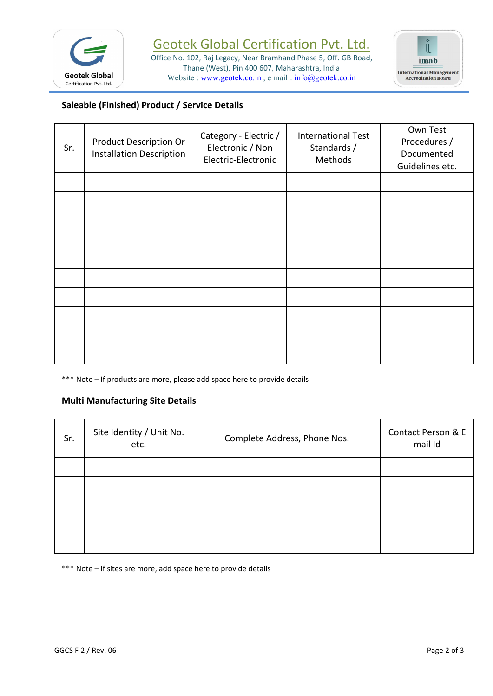

Office No. 102, Raj Legacy, Near Bramhand Phase 5, Off. GB Road, imab Thane (West), Pin 400 607, Maharashtra, India<br>site : www.geotek.co.in e mail :  $\frac{1}{\ln 6}$  Maharashtra, India Website : [www.geotek.co.in](http://www.geotek.co.in), e mail : [info@geotek.co.in](mailto:info@geotek.co.in)



# **Saleable (Finished) Product / Service Details**

| Sr. | Product Description Or<br><b>Installation Description</b> | Category - Electric /<br>Electronic / Non<br>Electric-Electronic | <b>International Test</b><br>Standards /<br>Methods | Own Test<br>Procedures /<br>Documented<br>Guidelines etc. |
|-----|-----------------------------------------------------------|------------------------------------------------------------------|-----------------------------------------------------|-----------------------------------------------------------|
|     |                                                           |                                                                  |                                                     |                                                           |
|     |                                                           |                                                                  |                                                     |                                                           |
|     |                                                           |                                                                  |                                                     |                                                           |
|     |                                                           |                                                                  |                                                     |                                                           |
|     |                                                           |                                                                  |                                                     |                                                           |
|     |                                                           |                                                                  |                                                     |                                                           |
|     |                                                           |                                                                  |                                                     |                                                           |
|     |                                                           |                                                                  |                                                     |                                                           |
|     |                                                           |                                                                  |                                                     |                                                           |

\*\*\* Note – If products are more, please add space here to provide details

#### **Multi Manufacturing Site Details**

| Sr. | Site Identity / Unit No.<br>etc. | Complete Address, Phone Nos. | Contact Person & E<br>mail Id |
|-----|----------------------------------|------------------------------|-------------------------------|
|     |                                  |                              |                               |
|     |                                  |                              |                               |
|     |                                  |                              |                               |
|     |                                  |                              |                               |
|     |                                  |                              |                               |

\*\*\* Note – If sites are more, add space here to provide details